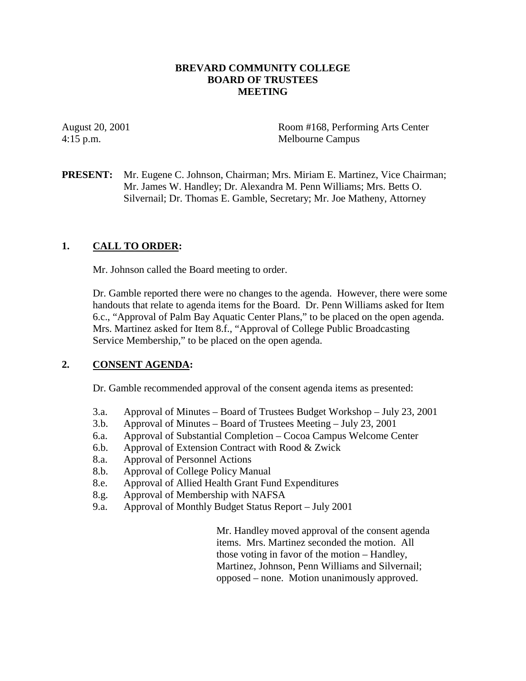### **BREVARD COMMUNITY COLLEGE BOARD OF TRUSTEES MEETING**

August 20, 2001 Room #168, Performing Arts Center 4:15 p.m. Melbourne Campus

**PRESENT:** Mr. Eugene C. Johnson, Chairman; Mrs. Miriam E. Martinez, Vice Chairman; Mr. James W. Handley; Dr. Alexandra M. Penn Williams; Mrs. Betts O. Silvernail; Dr. Thomas E. Gamble, Secretary; Mr. Joe Matheny, Attorney

### **1. CALL TO ORDER:**

Mr. Johnson called the Board meeting to order.

Dr. Gamble reported there were no changes to the agenda. However, there were some handouts that relate to agenda items for the Board. Dr. Penn Williams asked for Item 6.c., "Approval of Palm Bay Aquatic Center Plans," to be placed on the open agenda. Mrs. Martinez asked for Item 8.f., "Approval of College Public Broadcasting Service Membership," to be placed on the open agenda.

#### **2. CONSENT AGENDA:**

Dr. Gamble recommended approval of the consent agenda items as presented:

- 3.a. Approval of Minutes Board of Trustees Budget Workshop July 23, 2001
- 3.b. Approval of Minutes Board of Trustees Meeting July 23, 2001
- 6.a. Approval of Substantial Completion Cocoa Campus Welcome Center
- 6.b. Approval of Extension Contract with Rood & Zwick
- 8.a. Approval of Personnel Actions
- 8.b. Approval of College Policy Manual
- 8.e. Approval of Allied Health Grant Fund Expenditures
- 8.g. Approval of Membership with NAFSA
- 9.a. Approval of Monthly Budget Status Report July 2001

 Mr. Handley moved approval of the consent agenda items. Mrs. Martinez seconded the motion. All those voting in favor of the motion – Handley, Martinez, Johnson, Penn Williams and Silvernail; opposed – none. Motion unanimously approved.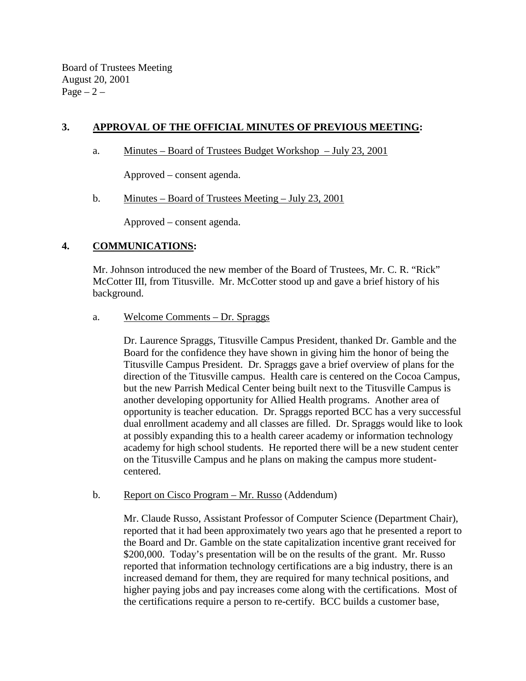Board of Trustees Meeting August 20, 2001 Page  $-2$  –

# **3. APPROVAL OF THE OFFICIAL MINUTES OF PREVIOUS MEETING:**

a. Minutes – Board of Trustees Budget Workshop – July 23, 2001

Approved – consent agenda.

b. Minutes – Board of Trustees Meeting – July 23, 2001

Approved – consent agenda.

### **4. COMMUNICATIONS:**

Mr. Johnson introduced the new member of the Board of Trustees, Mr. C. R. "Rick" McCotter III, from Titusville. Mr. McCotter stood up and gave a brief history of his background.

a. Welcome Comments – Dr. Spraggs

Dr. Laurence Spraggs, Titusville Campus President, thanked Dr. Gamble and the Board for the confidence they have shown in giving him the honor of being the Titusville Campus President. Dr. Spraggs gave a brief overview of plans for the direction of the Titusville campus. Health care is centered on the Cocoa Campus, but the new Parrish Medical Center being built next to the Titusville Campus is another developing opportunity for Allied Health programs. Another area of opportunity is teacher education. Dr. Spraggs reported BCC has a very successful dual enrollment academy and all classes are filled. Dr. Spraggs would like to look at possibly expanding this to a health career academy or information technology academy for high school students. He reported there will be a new student center on the Titusville Campus and he plans on making the campus more studentcentered.

b. Report on Cisco Program – Mr. Russo (Addendum)

Mr. Claude Russo, Assistant Professor of Computer Science (Department Chair), reported that it had been approximately two years ago that he presented a report to the Board and Dr. Gamble on the state capitalization incentive grant received for \$200,000. Today's presentation will be on the results of the grant. Mr. Russo reported that information technology certifications are a big industry, there is an increased demand for them, they are required for many technical positions, and higher paying jobs and pay increases come along with the certifications. Most of the certifications require a person to re-certify. BCC builds a customer base,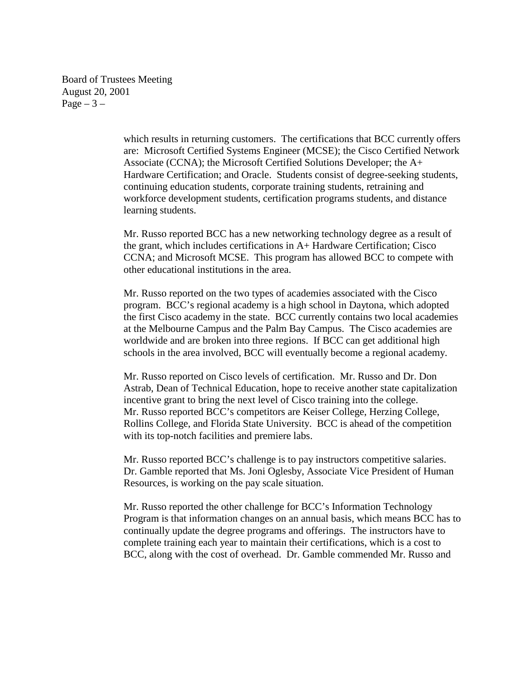Board of Trustees Meeting August 20, 2001 Page  $-3-$ 

> which results in returning customers. The certifications that BCC currently offers are: Microsoft Certified Systems Engineer (MCSE); the Cisco Certified Network Associate (CCNA); the Microsoft Certified Solutions Developer; the A+ Hardware Certification; and Oracle. Students consist of degree-seeking students, continuing education students, corporate training students, retraining and workforce development students, certification programs students, and distance learning students.

Mr. Russo reported BCC has a new networking technology degree as a result of the grant, which includes certifications in A+ Hardware Certification; Cisco CCNA; and Microsoft MCSE. This program has allowed BCC to compete with other educational institutions in the area.

Mr. Russo reported on the two types of academies associated with the Cisco program. BCC's regional academy is a high school in Daytona, which adopted the first Cisco academy in the state. BCC currently contains two local academies at the Melbourne Campus and the Palm Bay Campus. The Cisco academies are worldwide and are broken into three regions. If BCC can get additional high schools in the area involved, BCC will eventually become a regional academy.

Mr. Russo reported on Cisco levels of certification. Mr. Russo and Dr. Don Astrab, Dean of Technical Education, hope to receive another state capitalization incentive grant to bring the next level of Cisco training into the college. Mr. Russo reported BCC's competitors are Keiser College, Herzing College, Rollins College, and Florida State University. BCC is ahead of the competition with its top-notch facilities and premiere labs.

Mr. Russo reported BCC's challenge is to pay instructors competitive salaries. Dr. Gamble reported that Ms. Joni Oglesby, Associate Vice President of Human Resources, is working on the pay scale situation.

Mr. Russo reported the other challenge for BCC's Information Technology Program is that information changes on an annual basis, which means BCC has to continually update the degree programs and offerings. The instructors have to complete training each year to maintain their certifications, which is a cost to BCC, along with the cost of overhead. Dr. Gamble commended Mr. Russo and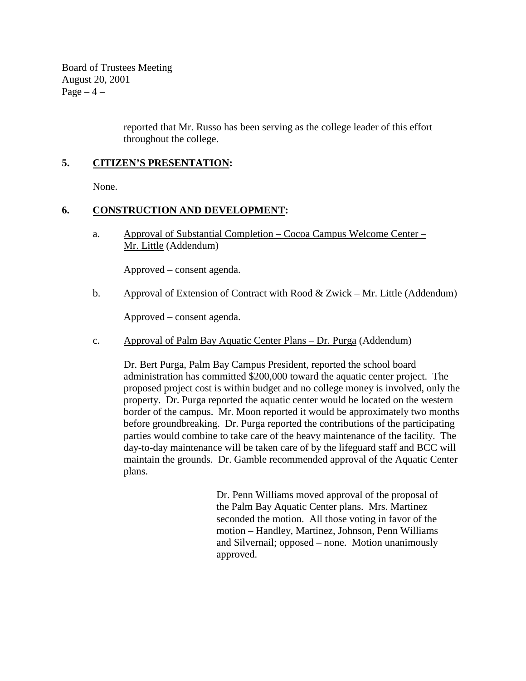Board of Trustees Meeting August 20, 2001  $Page-4$  –

> reported that Mr. Russo has been serving as the college leader of this effort throughout the college.

## **5. CITIZEN'S PRESENTATION:**

None.

#### **6. CONSTRUCTION AND DEVELOPMENT:**

a. Approval of Substantial Completion – Cocoa Campus Welcome Center – Mr. Little (Addendum)

Approved – consent agenda.

b. Approval of Extension of Contract with Rood & Zwick – Mr. Little (Addendum)

Approved – consent agenda.

c. Approval of Palm Bay Aquatic Center Plans – Dr. Purga (Addendum)

Dr. Bert Purga, Palm Bay Campus President, reported the school board administration has committed \$200,000 toward the aquatic center project. The proposed project cost is within budget and no college money is involved, only the property. Dr. Purga reported the aquatic center would be located on the western border of the campus. Mr. Moon reported it would be approximately two months before groundbreaking. Dr. Purga reported the contributions of the participating parties would combine to take care of the heavy maintenance of the facility. The day-to-day maintenance will be taken care of by the lifeguard staff and BCC will maintain the grounds. Dr. Gamble recommended approval of the Aquatic Center plans.

> Dr. Penn Williams moved approval of the proposal of the Palm Bay Aquatic Center plans. Mrs. Martinez seconded the motion. All those voting in favor of the motion – Handley, Martinez, Johnson, Penn Williams and Silvernail; opposed – none. Motion unanimously approved.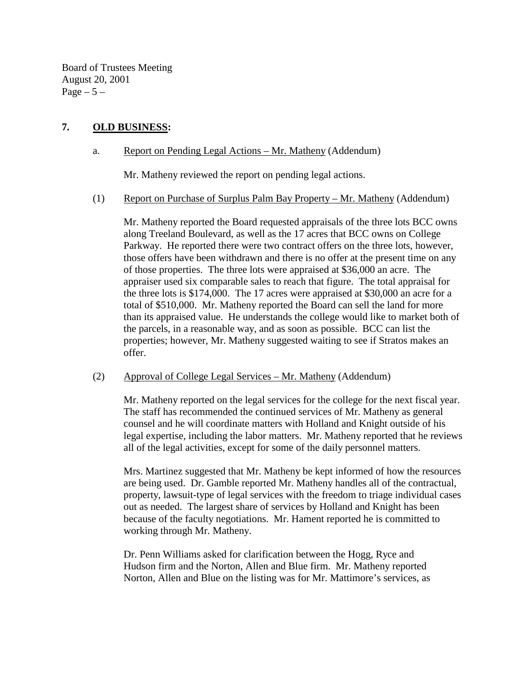Board of Trustees Meeting August 20, 2001 Page  $-5-$ 

## **7. OLD BUSINESS:**

### a. Report on Pending Legal Actions – Mr. Matheny (Addendum)

Mr. Matheny reviewed the report on pending legal actions.

#### (1) Report on Purchase of Surplus Palm Bay Property – Mr. Matheny (Addendum)

 Mr. Matheny reported the Board requested appraisals of the three lots BCC owns along Treeland Boulevard, as well as the 17 acres that BCC owns on College Parkway. He reported there were two contract offers on the three lots, however, those offers have been withdrawn and there is no offer at the present time on any of those properties. The three lots were appraised at \$36,000 an acre. The appraiser used six comparable sales to reach that figure. The total appraisal for the three lots is \$174,000. The 17 acres were appraised at \$30,000 an acre for a total of \$510,000. Mr. Matheny reported the Board can sell the land for more than its appraised value. He understands the college would like to market both of the parcels, in a reasonable way, and as soon as possible. BCC can list the properties; however, Mr. Matheny suggested waiting to see if Stratos makes an offer.

#### (2) Approval of College Legal Services – Mr. Matheny (Addendum)

Mr. Matheny reported on the legal services for the college for the next fiscal year. The staff has recommended the continued services of Mr. Matheny as general counsel and he will coordinate matters with Holland and Knight outside of his legal expertise, including the labor matters. Mr. Matheny reported that he reviews all of the legal activities, except for some of the daily personnel matters.

Mrs. Martinez suggested that Mr. Matheny be kept informed of how the resources are being used. Dr. Gamble reported Mr. Matheny handles all of the contractual, property, lawsuit-type of legal services with the freedom to triage individual cases out as needed. The largest share of services by Holland and Knight has been because of the faculty negotiations. Mr. Hament reported he is committed to working through Mr. Matheny.

Dr. Penn Williams asked for clarification between the Hogg, Ryce and Hudson firm and the Norton, Allen and Blue firm. Mr. Matheny reported Norton, Allen and Blue on the listing was for Mr. Mattimore's services, as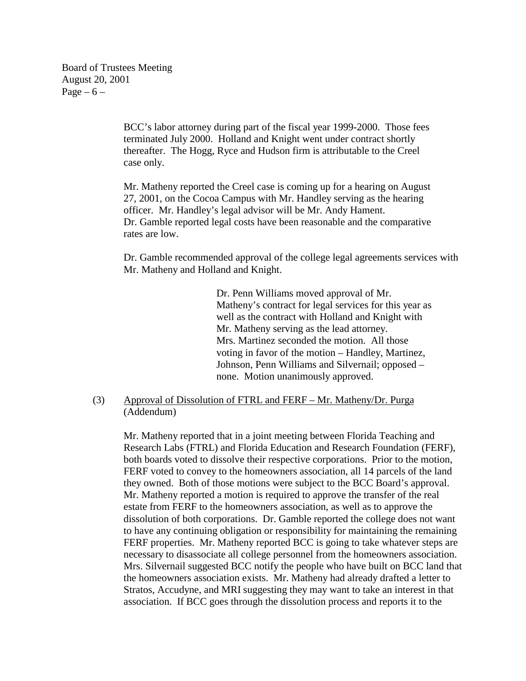Board of Trustees Meeting August 20, 2001 Page  $-6$  –

> BCC's labor attorney during part of the fiscal year 1999-2000. Those fees terminated July 2000. Holland and Knight went under contract shortly thereafter. The Hogg, Ryce and Hudson firm is attributable to the Creel case only.

> Mr. Matheny reported the Creel case is coming up for a hearing on August 27, 2001, on the Cocoa Campus with Mr. Handley serving as the hearing officer. Mr. Handley's legal advisor will be Mr. Andy Hament. Dr. Gamble reported legal costs have been reasonable and the comparative rates are low.

Dr. Gamble recommended approval of the college legal agreements services with Mr. Matheny and Holland and Knight.

> Dr. Penn Williams moved approval of Mr. Matheny's contract for legal services for this year as well as the contract with Holland and Knight with Mr. Matheny serving as the lead attorney. Mrs. Martinez seconded the motion. All those voting in favor of the motion – Handley, Martinez, Johnson, Penn Williams and Silvernail; opposed – none. Motion unanimously approved.

(3) Approval of Dissolution of FTRL and FERF – Mr. Matheny/Dr. Purga (Addendum)

Mr. Matheny reported that in a joint meeting between Florida Teaching and Research Labs (FTRL) and Florida Education and Research Foundation (FERF), both boards voted to dissolve their respective corporations. Prior to the motion, FERF voted to convey to the homeowners association, all 14 parcels of the land they owned. Both of those motions were subject to the BCC Board's approval. Mr. Matheny reported a motion is required to approve the transfer of the real estate from FERF to the homeowners association, as well as to approve the dissolution of both corporations. Dr. Gamble reported the college does not want to have any continuing obligation or responsibility for maintaining the remaining FERF properties. Mr. Matheny reported BCC is going to take whatever steps are necessary to disassociate all college personnel from the homeowners association. Mrs. Silvernail suggested BCC notify the people who have built on BCC land that the homeowners association exists. Mr. Matheny had already drafted a letter to Stratos, Accudyne, and MRI suggesting they may want to take an interest in that association. If BCC goes through the dissolution process and reports it to the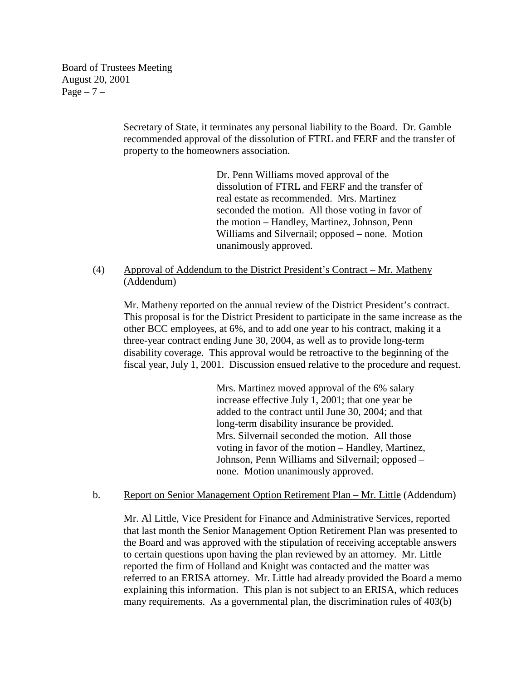Board of Trustees Meeting August 20, 2001  $Page - 7 -$ 

> Secretary of State, it terminates any personal liability to the Board. Dr. Gamble recommended approval of the dissolution of FTRL and FERF and the transfer of property to the homeowners association.

> > Dr. Penn Williams moved approval of the dissolution of FTRL and FERF and the transfer of real estate as recommended. Mrs. Martinez seconded the motion. All those voting in favor of the motion – Handley, Martinez, Johnson, Penn Williams and Silvernail; opposed – none. Motion unanimously approved.

(4) Approval of Addendum to the District President's Contract – Mr. Matheny (Addendum)

Mr. Matheny reported on the annual review of the District President's contract. This proposal is for the District President to participate in the same increase as the other BCC employees, at 6%, and to add one year to his contract, making it a three-year contract ending June 30, 2004, as well as to provide long-term disability coverage. This approval would be retroactive to the beginning of the fiscal year, July 1, 2001. Discussion ensued relative to the procedure and request.

> Mrs. Martinez moved approval of the 6% salary increase effective July 1, 2001; that one year be added to the contract until June 30, 2004; and that long-term disability insurance be provided. Mrs. Silvernail seconded the motion. All those voting in favor of the motion – Handley, Martinez, Johnson, Penn Williams and Silvernail; opposed – none. Motion unanimously approved.

b. Report on Senior Management Option Retirement Plan – Mr. Little (Addendum)

Mr. Al Little, Vice President for Finance and Administrative Services, reported that last month the Senior Management Option Retirement Plan was presented to the Board and was approved with the stipulation of receiving acceptable answers to certain questions upon having the plan reviewed by an attorney. Mr. Little reported the firm of Holland and Knight was contacted and the matter was referred to an ERISA attorney. Mr. Little had already provided the Board a memo explaining this information. This plan is not subject to an ERISA, which reduces many requirements. As a governmental plan, the discrimination rules of 403(b)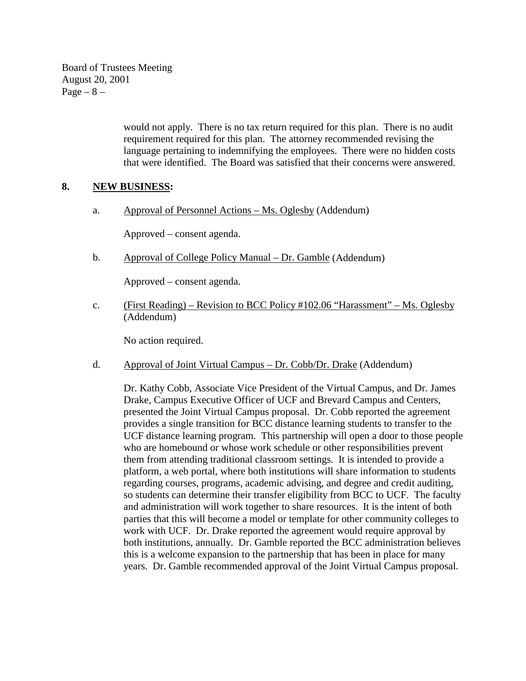Board of Trustees Meeting August 20, 2001  $Page - 8 -$ 

> would not apply. There is no tax return required for this plan. There is no audit requirement required for this plan. The attorney recommended revising the language pertaining to indemnifying the employees. There were no hidden costs that were identified. The Board was satisfied that their concerns were answered.

#### **8. NEW BUSINESS:**

a. Approval of Personnel Actions – Ms. Oglesby (Addendum)

Approved – consent agenda.

b. Approval of College Policy Manual – Dr. Gamble (Addendum)

Approved – consent agenda.

c. (First Reading) – Revision to BCC Policy #102.06 "Harassment" – Ms. Oglesby (Addendum)

No action required.

d. Approval of Joint Virtual Campus – Dr. Cobb/Dr. Drake (Addendum)

 Dr. Kathy Cobb, Associate Vice President of the Virtual Campus, and Dr. James Drake, Campus Executive Officer of UCF and Brevard Campus and Centers, presented the Joint Virtual Campus proposal. Dr. Cobb reported the agreement provides a single transition for BCC distance learning students to transfer to the UCF distance learning program. This partnership will open a door to those people who are homebound or whose work schedule or other responsibilities prevent them from attending traditional classroom settings. It is intended to provide a platform, a web portal, where both institutions will share information to students regarding courses, programs, academic advising, and degree and credit auditing, so students can determine their transfer eligibility from BCC to UCF. The faculty and administration will work together to share resources. It is the intent of both parties that this will become a model or template for other community colleges to work with UCF. Dr. Drake reported the agreement would require approval by both institutions, annually. Dr. Gamble reported the BCC administration believes this is a welcome expansion to the partnership that has been in place for many years. Dr. Gamble recommended approval of the Joint Virtual Campus proposal.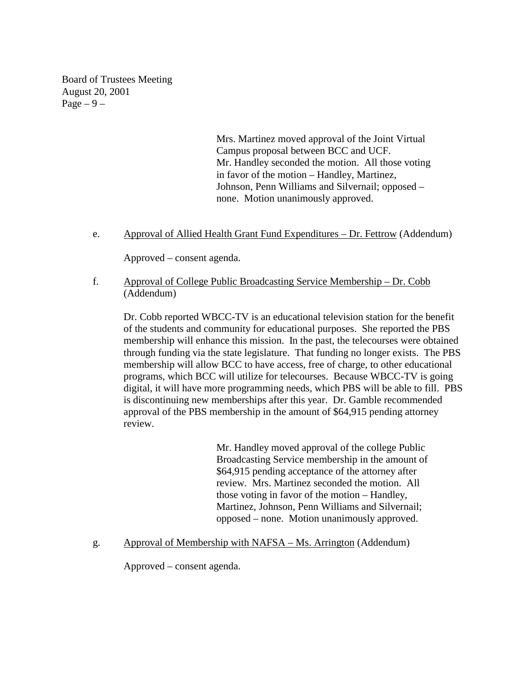Board of Trustees Meeting August 20, 2001 Page  $-9-$ 

> Mrs. Martinez moved approval of the Joint Virtual Campus proposal between BCC and UCF. Mr. Handley seconded the motion. All those voting in favor of the motion – Handley, Martinez, Johnson, Penn Williams and Silvernail; opposed – none. Motion unanimously approved.

e. Approval of Allied Health Grant Fund Expenditures – Dr. Fettrow (Addendum)

Approved – consent agenda.

f. Approval of College Public Broadcasting Service Membership – Dr. Cobb (Addendum)

 Dr. Cobb reported WBCC-TV is an educational television station for the benefit of the students and community for educational purposes. She reported the PBS membership will enhance this mission. In the past, the telecourses were obtained through funding via the state legislature. That funding no longer exists. The PBS membership will allow BCC to have access, free of charge, to other educational programs, which BCC will utilize for telecourses. Because WBCC-TV is going digital, it will have more programming needs, which PBS will be able to fill. PBS is discontinuing new memberships after this year. Dr. Gamble recommended approval of the PBS membership in the amount of \$64,915 pending attorney review.

> Mr. Handley moved approval of the college Public Broadcasting Service membership in the amount of \$64,915 pending acceptance of the attorney after review. Mrs. Martinez seconded the motion. All those voting in favor of the motion – Handley, Martinez, Johnson, Penn Williams and Silvernail; opposed – none. Motion unanimously approved.

g. Approval of Membership with NAFSA – Ms. Arrington (Addendum)

Approved – consent agenda.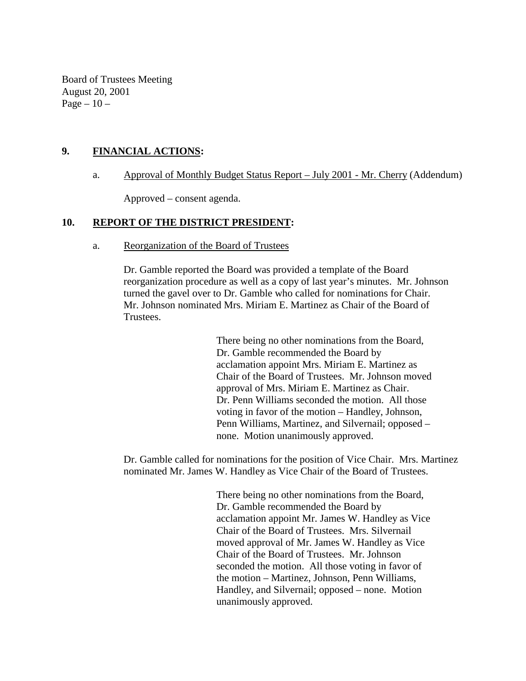Board of Trustees Meeting August 20, 2001 Page  $-10-$ 

### **9. FINANCIAL ACTIONS:**

#### a. Approval of Monthly Budget Status Report – July 2001 - Mr. Cherry (Addendum)

Approved – consent agenda.

#### **10. REPORT OF THE DISTRICT PRESIDENT:**

#### a. Reorganization of the Board of Trustees

 Dr. Gamble reported the Board was provided a template of the Board reorganization procedure as well as a copy of last year's minutes. Mr. Johnson turned the gavel over to Dr. Gamble who called for nominations for Chair. Mr. Johnson nominated Mrs. Miriam E. Martinez as Chair of the Board of Trustees.

> There being no other nominations from the Board, Dr. Gamble recommended the Board by acclamation appoint Mrs. Miriam E. Martinez as Chair of the Board of Trustees. Mr. Johnson moved approval of Mrs. Miriam E. Martinez as Chair. Dr. Penn Williams seconded the motion. All those voting in favor of the motion – Handley, Johnson, Penn Williams, Martinez, and Silvernail; opposed – none. Motion unanimously approved.

 Dr. Gamble called for nominations for the position of Vice Chair. Mrs. Martinez nominated Mr. James W. Handley as Vice Chair of the Board of Trustees.

> There being no other nominations from the Board, Dr. Gamble recommended the Board by acclamation appoint Mr. James W. Handley as Vice Chair of the Board of Trustees. Mrs. Silvernail moved approval of Mr. James W. Handley as Vice Chair of the Board of Trustees. Mr. Johnson seconded the motion. All those voting in favor of the motion – Martinez, Johnson, Penn Williams, Handley, and Silvernail; opposed – none. Motion unanimously approved.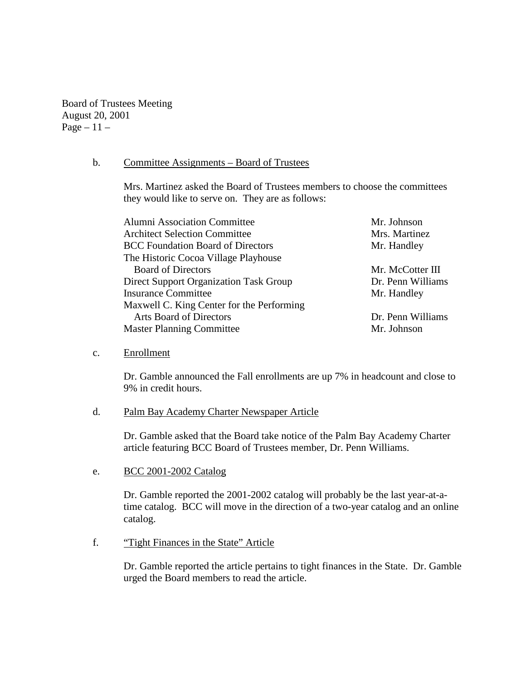Board of Trustees Meeting August 20, 2001 Page  $-11-$ 

#### b. Committee Assignments – Board of Trustees

Mrs. Martinez asked the Board of Trustees members to choose the committees they would like to serve on. They are as follows:

| <b>Alumni Association Committee</b>       | Mr. Johnson       |
|-------------------------------------------|-------------------|
| <b>Architect Selection Committee</b>      | Mrs. Martinez     |
| <b>BCC</b> Foundation Board of Directors  | Mr. Handley       |
| The Historic Cocoa Village Playhouse      |                   |
| <b>Board of Directors</b>                 | Mr. McCotter III  |
| Direct Support Organization Task Group    | Dr. Penn Williams |
| <b>Insurance Committee</b>                | Mr. Handley       |
| Maxwell C. King Center for the Performing |                   |
| <b>Arts Board of Directors</b>            | Dr. Penn Williams |
| <b>Master Planning Committee</b>          | Mr. Johnson       |
|                                           |                   |

c. Enrollment

Dr. Gamble announced the Fall enrollments are up 7% in headcount and close to 9% in credit hours.

#### d. Palm Bay Academy Charter Newspaper Article

Dr. Gamble asked that the Board take notice of the Palm Bay Academy Charter article featuring BCC Board of Trustees member, Dr. Penn Williams.

e. BCC 2001-2002 Catalog

Dr. Gamble reported the 2001-2002 catalog will probably be the last year-at-atime catalog. BCC will move in the direction of a two-year catalog and an online catalog.

f. "Tight Finances in the State" Article

Dr. Gamble reported the article pertains to tight finances in the State. Dr. Gamble urged the Board members to read the article.